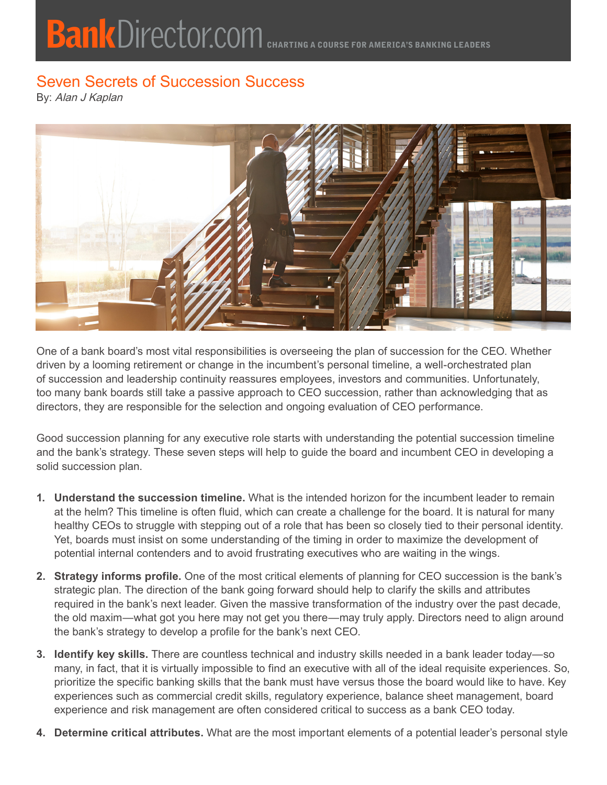## **Bank Director.com CHARTING A COURSE FOR AMERICA'S BANKING LEADERS**

## Seven Secrets of Succession Success

By: Alan J Kaplan



One of a bank board's most vital responsibilities is overseeing the plan of succession for the CEO. Whether driven by a looming retirement or change in the incumbent's personal timeline, a well-orchestrated plan of succession and leadership continuity reassures employees, investors and communities. Unfortunately, too many bank boards still take a passive approach to CEO succession, rather than acknowledging that as directors, they are responsible for the selection and ongoing evaluation of CEO performance.

Good succession planning for any executive role starts with understanding the potential succession timeline and the bank's strategy. These seven steps will help to guide the board and incumbent CEO in developing a solid succession plan.

- **1. Understand the succession timeline.** What is the intended horizon for the incumbent leader to remain at the helm? This timeline is often fluid, which can create a challenge for the board. It is natural for many healthy CEOs to struggle with stepping out of a role that has been so closely tied to their personal identity. Yet, boards must insist on some understanding of the timing in order to maximize the development of potential internal contenders and to avoid frustrating executives who are waiting in the wings.
- **2. Strategy informs profile.** One of the most critical elements of planning for CEO succession is the bank's strategic plan. The direction of the bank going forward should help to clarify the skills and attributes required in the bank's next leader. Given the massive transformation of the industry over the past decade, the old maxim—what got you here may not get you there—may truly apply. Directors need to align around the bank's strategy to develop a profile for the bank's next CEO.
- **3. Identify key skills.** There are countless technical and industry skills needed in a bank leader today—so many, in fact, that it is virtually impossible to find an executive with all of the ideal requisite experiences. So, prioritize the specific banking skills that the bank must have versus those the board would like to have. Key experiences such as commercial credit skills, regulatory experience, balance sheet management, board experience and risk management are often considered critical to success as a bank CEO today.
- **4. Determine critical attributes.** What are the most important elements of a potential leader's personal style